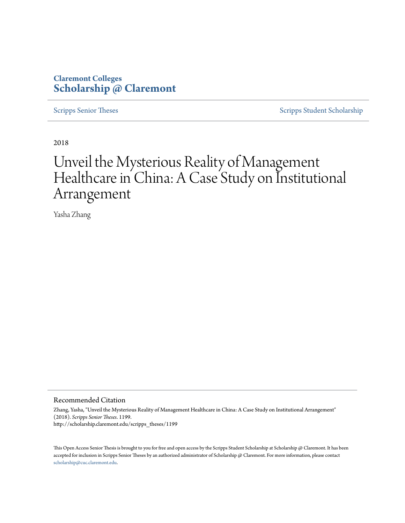# **Claremont Colleges [Scholarship @ Claremont](http://scholarship.claremont.edu)**

[Scripps Senior Theses](http://scholarship.claremont.edu/scripps_theses) [Scripps Student Scholarship](http://scholarship.claremont.edu/scripps_student)

2018

# Unveil the Mysterious Reality of Management Healthcare in China: A Case Study on Institutional Arrangement

Yasha Zhang

#### Recommended Citation

Zhang, Yasha, "Unveil the Mysterious Reality of Management Healthcare in China: A Case Study on Institutional Arrangement" (2018). *Scripps Senior Theses*. 1199. http://scholarship.claremont.edu/scripps\_theses/1199

This Open Access Senior Thesis is brought to you for free and open access by the Scripps Student Scholarship at Scholarship @ Claremont. It has been accepted for inclusion in Scripps Senior Theses by an authorized administrator of Scholarship @ Claremont. For more information, please contact [scholarship@cuc.claremont.edu.](mailto:scholarship@cuc.claremont.edu)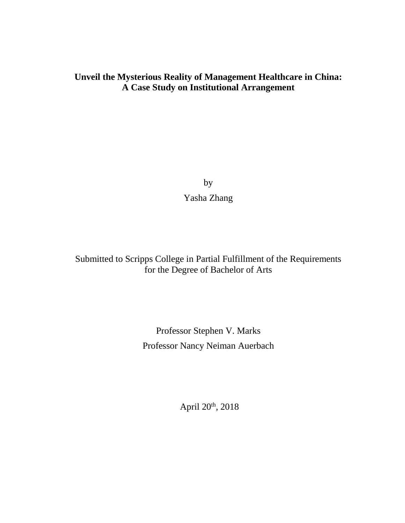# **Unveil the Mysterious Reality of Management Healthcare in China: A Case Study on Institutional Arrangement**

by Yasha Zhang

Submitted to Scripps College in Partial Fulfillment of the Requirements for the Degree of Bachelor of Arts

> Professor Stephen V. Marks Professor Nancy Neiman Auerbach

> > April 20th, 2018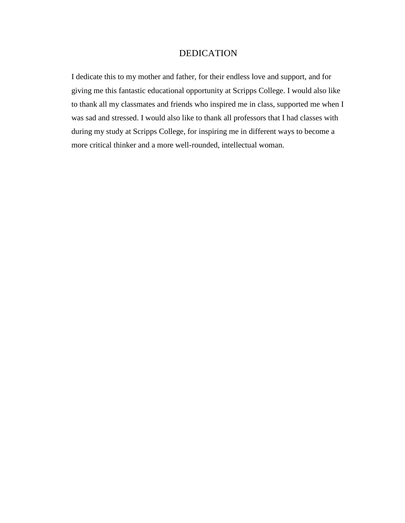# DEDICATION

I dedicate this to my mother and father, for their endless love and support, and for giving me this fantastic educational opportunity at Scripps College. I would also like to thank all my classmates and friends who inspired me in class, supported me when I was sad and stressed. I would also like to thank all professors that I had classes with during my study at Scripps College, for inspiring me in different ways to become a more critical thinker and a more well-rounded, intellectual woman.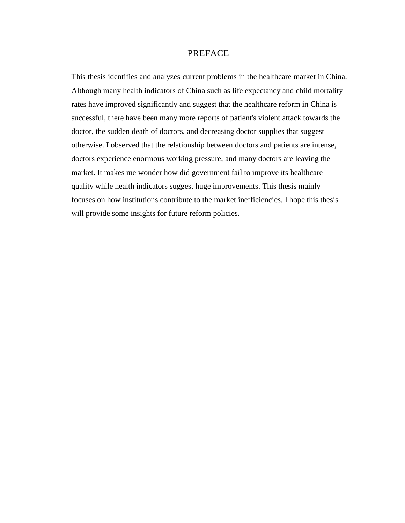# PREFACE

This thesis identifies and analyzes current problems in the healthcare market in China. Although many health indicators of China such as life expectancy and child mortality rates have improved significantly and suggest that the healthcare reform in China is successful, there have been many more reports of patient's violent attack towards the doctor, the sudden death of doctors, and decreasing doctor supplies that suggest otherwise. I observed that the relationship between doctors and patients are intense, doctors experience enormous working pressure, and many doctors are leaving the market. It makes me wonder how did government fail to improve its healthcare quality while health indicators suggest huge improvements. This thesis mainly focuses on how institutions contribute to the market inefficiencies. I hope this thesis will provide some insights for future reform policies.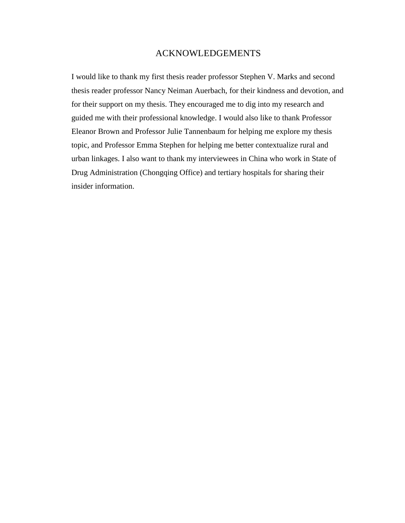# ACKNOWLEDGEMENTS

I would like to thank my first thesis reader professor Stephen V. Marks and second thesis reader professor Nancy Neiman Auerbach, for their kindness and devotion, and for their support on my thesis. They encouraged me to dig into my research and guided me with their professional knowledge. I would also like to thank Professor Eleanor Brown and Professor Julie Tannenbaum for helping me explore my thesis topic, and Professor Emma Stephen for helping me better contextualize rural and urban linkages. I also want to thank my interviewees in China who work in State of Drug Administration (Chongqing Office) and tertiary hospitals for sharing their insider information.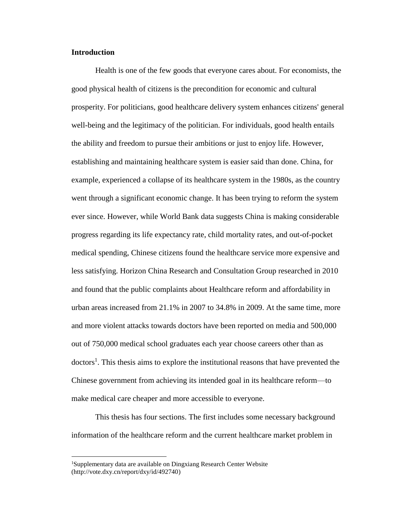# **Introduction**

Health is one of the few goods that everyone cares about. For economists, the good physical health of citizens is the precondition for economic and cultural prosperity. For politicians, good healthcare delivery system enhances citizens' general well-being and the legitimacy of the politician. For individuals, good health entails the ability and freedom to pursue their ambitions or just to enjoy life. However, establishing and maintaining healthcare system is easier said than done. China, for example, experienced a collapse of its healthcare system in the 1980s, as the country went through a significant economic change. It has been trying to reform the system ever since. However, while World Bank data suggests China is making considerable progress regarding its life expectancy rate, child mortality rates, and out-of-pocket medical spending, Chinese citizens found the healthcare service more expensive and less satisfying. Horizon China Research and Consultation Group researched in 2010 and found that the public complaints about Healthcare reform and affordability in urban areas increased from 21.1% in 2007 to 34.8% in 2009. At the same time, more and more violent attacks towards doctors have been reported on media and 500,000 out of 750,000 medical school graduates each year choose careers other than as doctors<sup>1</sup>. This thesis aims to explore the institutional reasons that have prevented the Chinese government from achieving its intended goal in its healthcare reform—to make medical care cheaper and more accessible to everyone.

This thesis has four sections. The first includes some necessary background information of the healthcare reform and the current healthcare market problem in

<sup>1</sup>Supplementary data are available on Dingxiang Research Center Website (http://vote.dxy.cn/report/dxy/id/492740)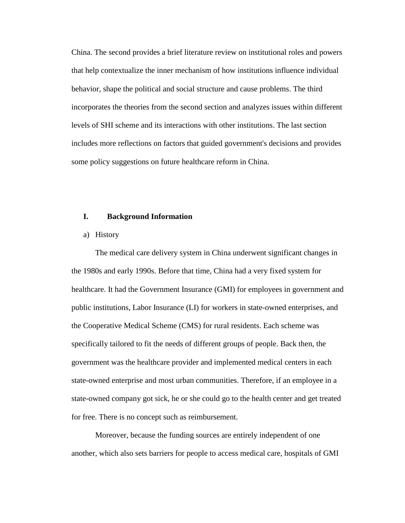China. The second provides a brief literature review on institutional roles and powers that help contextualize the inner mechanism of how institutions influence individual behavior, shape the political and social structure and cause problems. The third incorporates the theories from the second section and analyzes issues within different levels of SHI scheme and its interactions with other institutions. The last section includes more reflections on factors that guided government's decisions and provides some policy suggestions on future healthcare reform in China.

# **I. Background Information**

#### a) History

The medical care delivery system in China underwent significant changes in the 1980s and early 1990s. Before that time, China had a very fixed system for healthcare. It had the Government Insurance (GMI) for employees in government and public institutions, Labor Insurance (LI) for workers in state-owned enterprises, and the Cooperative Medical Scheme (CMS) for rural residents. Each scheme was specifically tailored to fit the needs of different groups of people. Back then, the government was the healthcare provider and implemented medical centers in each state-owned enterprise and most urban communities. Therefore, if an employee in a state-owned company got sick, he or she could go to the health center and get treated for free. There is no concept such as reimbursement.

Moreover, because the funding sources are entirely independent of one another, which also sets barriers for people to access medical care, hospitals of GMI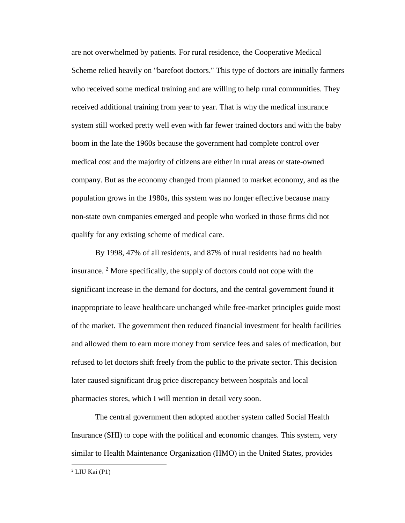are not overwhelmed by patients. For rural residence, the Cooperative Medical Scheme relied heavily on "barefoot doctors." This type of doctors are initially farmers who received some medical training and are willing to help rural communities. They received additional training from year to year. That is why the medical insurance system still worked pretty well even with far fewer trained doctors and with the baby boom in the late the 1960s because the government had complete control over medical cost and the majority of citizens are either in rural areas or state-owned company. But as the economy changed from planned to market economy, and as the population grows in the 1980s, this system was no longer effective because many non-state own companies emerged and people who worked in those firms did not qualify for any existing scheme of medical care.

By 1998, 47% of all residents, and 87% of rural residents had no health insurance.  $2^{\circ}$  More specifically, the supply of doctors could not cope with the significant increase in the demand for doctors, and the central government found it inappropriate to leave healthcare unchanged while free-market principles guide most of the market. The government then reduced financial investment for health facilities and allowed them to earn more money from service fees and sales of medication, but refused to let doctors shift freely from the public to the private sector. This decision later caused significant drug price discrepancy between hospitals and local pharmacies stores, which I will mention in detail very soon.

The central government then adopted another system called Social Health Insurance (SHI) to cope with the political and economic changes. This system, very similar to Health Maintenance Organization (HMO) in the United States, provides

 $2$  LIU Kai (P1)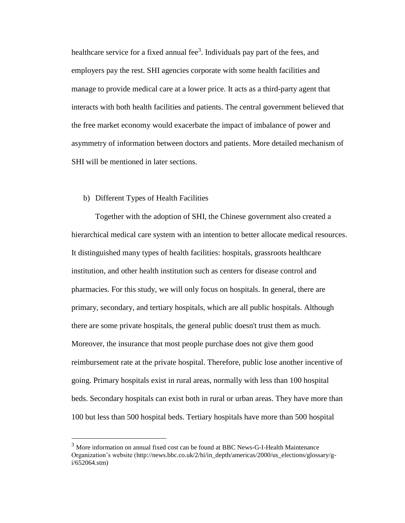healthcare service for a fixed annual fee<sup>3</sup>. Individuals pay part of the fees, and employers pay the rest. SHI agencies corporate with some health facilities and manage to provide medical care at a lower price. It acts as a third-party agent that interacts with both health facilities and patients. The central government believed that the free market economy would exacerbate the impact of imbalance of power and asymmetry of information between doctors and patients. More detailed mechanism of SHI will be mentioned in later sections.

## b) Different Types of Health Facilities

 $\overline{a}$ 

Together with the adoption of SHI, the Chinese government also created a hierarchical medical care system with an intention to better allocate medical resources. It distinguished many types of health facilities: hospitals, grassroots healthcare institution, and other health institution such as centers for disease control and pharmacies. For this study, we will only focus on hospitals. In general, there are primary, secondary, and tertiary hospitals, which are all public hospitals. Although there are some private hospitals, the general public doesn't trust them as much. Moreover, the insurance that most people purchase does not give them good reimbursement rate at the private hospital. Therefore, public lose another incentive of going. Primary hospitals exist in rural areas, normally with less than 100 hospital beds. Secondary hospitals can exist both in rural or urban areas. They have more than 100 but less than 500 hospital beds. Tertiary hospitals have more than 500 hospital

<sup>3</sup> More information on annual fixed cost can be found at BBC News-G-I-Health Maintenance Organization's website (http://news.bbc.co.uk/2/hi/in\_depth/americas/2000/us\_elections/glossary/gi/652064.stm)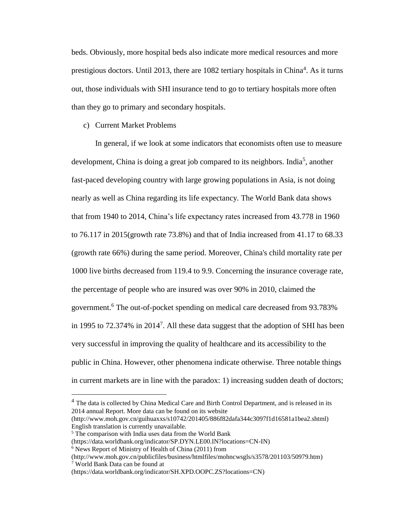beds. Obviously, more hospital beds also indicate more medical resources and more prestigious doctors. Until 2013, there are 1082 tertiary hospitals in China<sup>4</sup>. As it turns out, those individuals with SHI insurance tend to go to tertiary hospitals more often than they go to primary and secondary hospitals.

#### c) Current Market Problems

In general, if we look at some indicators that economists often use to measure development, China is doing a great job compared to its neighbors. India<sup>5</sup>, another fast-paced developing country with large growing populations in Asia, is not doing nearly as well as China regarding its life expectancy. The World Bank data shows that from 1940 to 2014, China's life expectancy rates increased from 43.778 in 1960 to 76.117 in 2015(growth rate 73.8%) and that of India increased from 41.17 to 68.33 (growth rate 66%) during the same period. Moreover, China's child mortality rate per 1000 live births decreased from 119.4 to 9.9. Concerning the insurance coverage rate, the percentage of people who are insured was over 90% in 2010, claimed the government.<sup>6</sup> The out-of-pocket spending on medical care decreased from 93.783% in 1995 to 72.374% in 2014<sup>7</sup>. All these data suggest that the adoption of SHI has been very successful in improving the quality of healthcare and its accessibility to the public in China. However, other phenomena indicate otherwise. Three notable things in current markets are in line with the paradox: 1) increasing sudden death of doctors;

<sup>&</sup>lt;sup>4</sup> The data is collected by China Medical Care and Birth Control Department, and is released in its 2014 annual Report. More data can be found on its website

<sup>(</sup>http://www.moh.gov.cn/guihuaxxs/s10742/201405/886f82dafa344c3097f1d16581a1bea2.shtml) English translation is currently unavailable.

<sup>5</sup> The comparison with India uses data from the World Bank

<sup>(</sup>https://data.worldbank.org/indicator/SP.DYN.LE00.IN?locations=CN-IN)

<sup>6</sup> News Report of Ministry of Health of China (2011) from

<sup>(</sup>http://www.moh.gov.cn/publicfiles/business/htmlfiles/mohncwsgls/s3578/201103/50979.htm)  $7$  World Bank Data can be found at

<sup>(</sup>https://data.worldbank.org/indicator/SH.XPD.OOPC.ZS?locations=CN)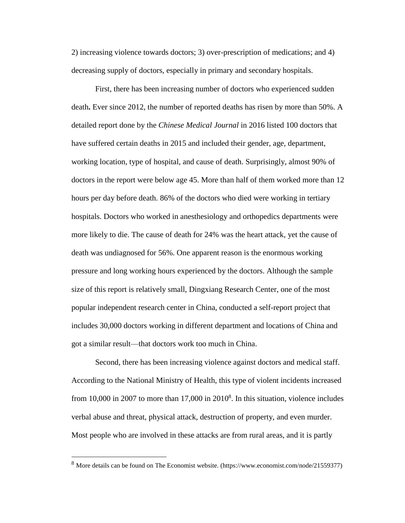2) increasing violence towards doctors; 3) over-prescription of medications; and 4) decreasing supply of doctors, especially in primary and secondary hospitals.

First, there has been increasing number of doctors who experienced sudden death**.** Ever since 2012, the number of reported deaths has risen by more than 50%. A detailed report done by the *Chinese Medical Journal* in 2016 listed 100 doctors that have suffered certain deaths in 2015 and included their gender, age, department, working location, type of hospital, and cause of death. Surprisingly, almost 90% of doctors in the report were below age 45. More than half of them worked more than 12 hours per day before death. 86% of the doctors who died were working in tertiary hospitals. Doctors who worked in anesthesiology and orthopedics departments were more likely to die. The cause of death for 24% was the heart attack, yet the cause of death was undiagnosed for 56%. One apparent reason is the enormous working pressure and long working hours experienced by the doctors. Although the sample size of this report is relatively small, Dingxiang Research Center, one of the most popular independent research center in China, conducted a self-report project that includes 30,000 doctors working in different department and locations of China and got a similar result—that doctors work too much in China.

Second, there has been increasing violence against doctors and medical staff. According to the National Ministry of Health, this type of violent incidents increased from 10,000 in 2007 to more than 17,000 in 2010<sup>8</sup>. In this situation, violence includes verbal abuse and threat, physical attack, destruction of property, and even murder. Most people who are involved in these attacks are from rural areas, and it is partly

<sup>8</sup> More details can be found on The Economist website. (https://www.economist.com/node/21559377)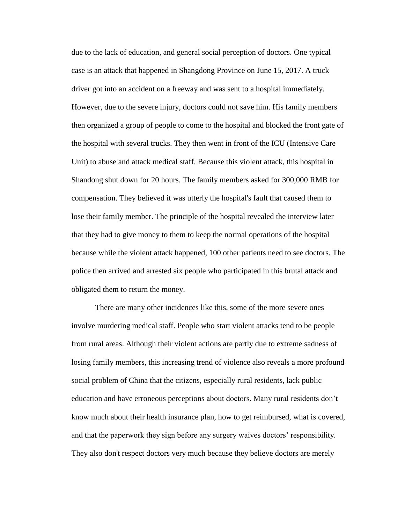due to the lack of education, and general social perception of doctors. One typical case is an attack that happened in Shangdong Province on June 15, 2017. A truck driver got into an accident on a freeway and was sent to a hospital immediately. However, due to the severe injury, doctors could not save him. His family members then organized a group of people to come to the hospital and blocked the front gate of the hospital with several trucks. They then went in front of the ICU (Intensive Care Unit) to abuse and attack medical staff. Because this violent attack, this hospital in Shandong shut down for 20 hours. The family members asked for 300,000 RMB for compensation. They believed it was utterly the hospital's fault that caused them to lose their family member. The principle of the hospital revealed the interview later that they had to give money to them to keep the normal operations of the hospital because while the violent attack happened, 100 other patients need to see doctors. The police then arrived and arrested six people who participated in this brutal attack and obligated them to return the money.

There are many other incidences like this, some of the more severe ones involve murdering medical staff. People who start violent attacks tend to be people from rural areas. Although their violent actions are partly due to extreme sadness of losing family members, this increasing trend of violence also reveals a more profound social problem of China that the citizens, especially rural residents, lack public education and have erroneous perceptions about doctors. Many rural residents don't know much about their health insurance plan, how to get reimbursed, what is covered, and that the paperwork they sign before any surgery waives doctors' responsibility. They also don't respect doctors very much because they believe doctors are merely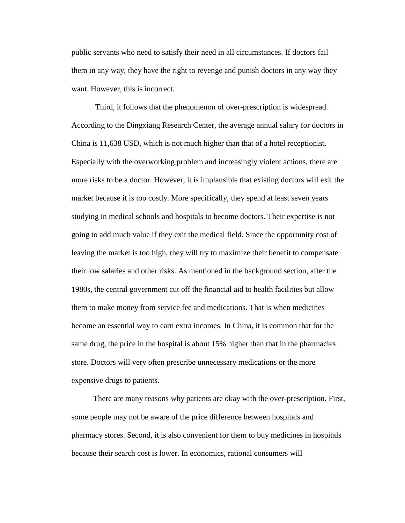public servants who need to satisfy their need in all circumstances. If doctors fail them in any way, they have the right to revenge and punish doctors in any way they want. However, this is incorrect.

Third, it follows that the phenomenon of over-prescription is widespread. According to the Dingxiang Research Center, the average annual salary for doctors in China is 11,638 USD, which is not much higher than that of a hotel receptionist. Especially with the overworking problem and increasingly violent actions, there are more risks to be a doctor. However, it is implausible that existing doctors will exit the market because it is too costly. More specifically, they spend at least seven years studying in medical schools and hospitals to become doctors. Their expertise is not going to add much value if they exit the medical field. Since the opportunity cost of leaving the market is too high, they will try to maximize their benefit to compensate their low salaries and other risks. As mentioned in the background section, after the 1980s, the central government cut off the financial aid to health facilities but allow them to make money from service fee and medications. That is when medicines become an essential way to earn extra incomes. In China, it is common that for the same drug, the price in the hospital is about 15% higher than that in the pharmacies store. Doctors will very often prescribe unnecessary medications or the more expensive drugs to patients.

There are many reasons why patients are okay with the over-prescription. First, some people may not be aware of the price difference between hospitals and pharmacy stores. Second, it is also convenient for them to buy medicines in hospitals because their search cost is lower. In economics, rational consumers will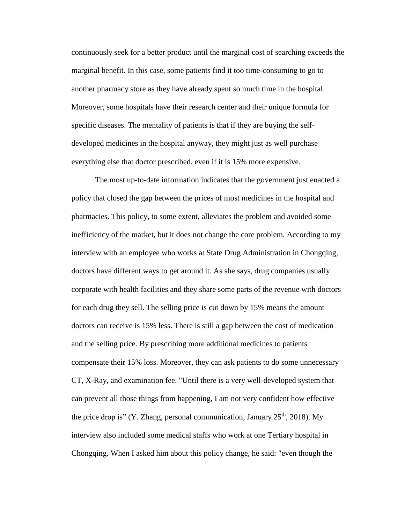continuously seek for a better product until the marginal cost of searching exceeds the marginal benefit. In this case, some patients find it too time-consuming to go to another pharmacy store as they have already spent so much time in the hospital. Moreover, some hospitals have their research center and their unique formula for specific diseases. The mentality of patients is that if they are buying the selfdeveloped medicines in the hospital anyway, they might just as well purchase everything else that doctor prescribed, even if it is 15% more expensive.

The most up-to-date information indicates that the government just enacted a policy that closed the gap between the prices of most medicines in the hospital and pharmacies. This policy, to some extent, alleviates the problem and avoided some inefficiency of the market, but it does not change the core problem. According to my interview with an employee who works at State Drug Administration in Chongqing, doctors have different ways to get around it. As she says, drug companies usually corporate with health facilities and they share some parts of the revenue with doctors for each drug they sell. The selling price is cut down by 15% means the amount doctors can receive is 15% less. There is still a gap between the cost of medication and the selling price. By prescribing more additional medicines to patients compensate their 15% loss. Moreover, they can ask patients to do some unnecessary CT, X-Ray, and examination fee. "Until there is a very well-developed system that can prevent all those things from happening, I am not very confident how effective the price drop is" (Y. Zhang, personal communication, January  $25<sup>th</sup>$ , 2018). My interview also included some medical staffs who work at one Tertiary hospital in Chongqing. When I asked him about this policy change, he said: "even though the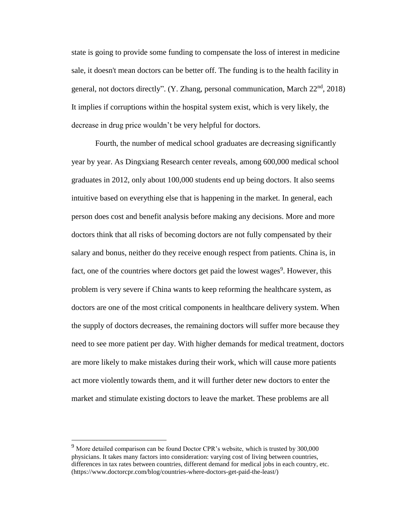state is going to provide some funding to compensate the loss of interest in medicine sale, it doesn't mean doctors can be better off. The funding is to the health facility in general, not doctors directly". (Y. Zhang, personal communication, March  $22<sup>nd</sup>$ ,  $2018$ ) It implies if corruptions within the hospital system exist, which is very likely, the decrease in drug price wouldn't be very helpful for doctors.

Fourth, the number of medical school graduates are decreasing significantly year by year. As Dingxiang Research center reveals, among 600,000 medical school graduates in 2012, only about 100,000 students end up being doctors. It also seems intuitive based on everything else that is happening in the market. In general, each person does cost and benefit analysis before making any decisions. More and more doctors think that all risks of becoming doctors are not fully compensated by their salary and bonus, neither do they receive enough respect from patients. China is, in fact, one of the countries where doctors get paid the lowest wages<sup>9</sup>. However, this problem is very severe if China wants to keep reforming the healthcare system, as doctors are one of the most critical components in healthcare delivery system. When the supply of doctors decreases, the remaining doctors will suffer more because they need to see more patient per day. With higher demands for medical treatment, doctors are more likely to make mistakes during their work, which will cause more patients act more violently towards them, and it will further deter new doctors to enter the market and stimulate existing doctors to leave the market. These problems are all

 $9$  More detailed comparison can be found Doctor CPR's website, which is trusted by 300,000 physicians. It takes many factors into consideration: varying cost of living between countries, differences in tax rates between countries, different demand for medical jobs in each country, etc. (https://www.doctorcpr.com/blog/countries-where-doctors-get-paid-the-least/)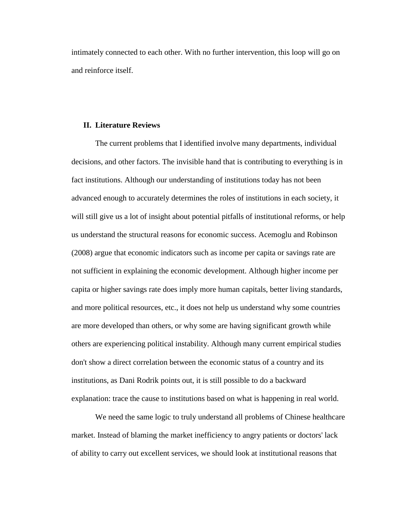intimately connected to each other. With no further intervention, this loop will go on and reinforce itself.

#### **II. Literature Reviews**

The current problems that I identified involve many departments, individual decisions, and other factors. The invisible hand that is contributing to everything is in fact institutions. Although our understanding of institutions today has not been advanced enough to accurately determines the roles of institutions in each society, it will still give us a lot of insight about potential pitfalls of institutional reforms, or help us understand the structural reasons for economic success. Acemoglu and Robinson (2008) argue that economic indicators such as income per capita or savings rate are not sufficient in explaining the economic development. Although higher income per capita or higher savings rate does imply more human capitals, better living standards, and more political resources, etc., it does not help us understand why some countries are more developed than others, or why some are having significant growth while others are experiencing political instability. Although many current empirical studies don't show a direct correlation between the economic status of a country and its institutions, as Dani Rodrik points out, it is still possible to do a backward explanation: trace the cause to institutions based on what is happening in real world.

We need the same logic to truly understand all problems of Chinese healthcare market. Instead of blaming the market inefficiency to angry patients or doctors' lack of ability to carry out excellent services, we should look at institutional reasons that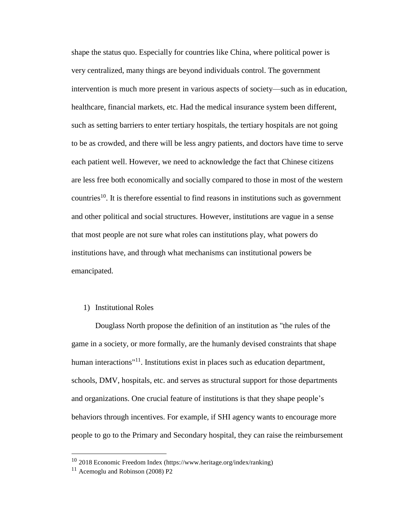shape the status quo. Especially for countries like China, where political power is very centralized, many things are beyond individuals control. The government intervention is much more present in various aspects of society—such as in education, healthcare, financial markets, etc. Had the medical insurance system been different, such as setting barriers to enter tertiary hospitals, the tertiary hospitals are not going to be as crowded, and there will be less angry patients, and doctors have time to serve each patient well. However, we need to acknowledge the fact that Chinese citizens are less free both economically and socially compared to those in most of the western countries<sup>10</sup>. It is therefore essential to find reasons in institutions such as government and other political and social structures. However, institutions are vague in a sense that most people are not sure what roles can institutions play, what powers do institutions have, and through what mechanisms can institutional powers be emancipated.

# 1) Institutional Roles

Douglass North propose the definition of an institution as "the rules of the game in a society, or more formally, are the humanly devised constraints that shape human interactions<sup>"11</sup>. Institutions exist in places such as education department, schools, DMV, hospitals, etc. and serves as structural support for those departments and organizations. One crucial feature of institutions is that they shape people's behaviors through incentives. For example, if SHI agency wants to encourage more people to go to the Primary and Secondary hospital, they can raise the reimbursement

<sup>10</sup> 2018 Economic Freedom Index (https://www.heritage.org/index/ranking)

 $11$  Acemoglu and Robinson (2008) P2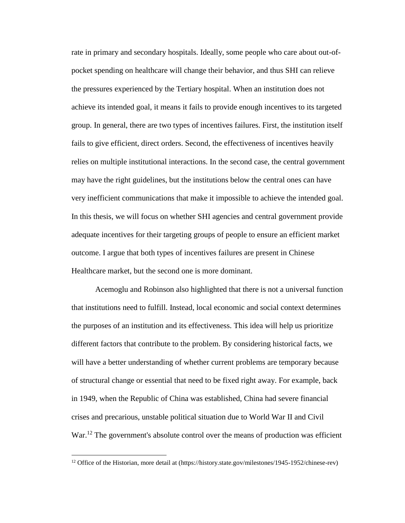rate in primary and secondary hospitals. Ideally, some people who care about out-ofpocket spending on healthcare will change their behavior, and thus SHI can relieve the pressures experienced by the Tertiary hospital. When an institution does not achieve its intended goal, it means it fails to provide enough incentives to its targeted group. In general, there are two types of incentives failures. First, the institution itself fails to give efficient, direct orders. Second, the effectiveness of incentives heavily relies on multiple institutional interactions. In the second case, the central government may have the right guidelines, but the institutions below the central ones can have very inefficient communications that make it impossible to achieve the intended goal. In this thesis, we will focus on whether SHI agencies and central government provide adequate incentives for their targeting groups of people to ensure an efficient market outcome. I argue that both types of incentives failures are present in Chinese Healthcare market, but the second one is more dominant.

Acemoglu and Robinson also highlighted that there is not a universal function that institutions need to fulfill. Instead, local economic and social context determines the purposes of an institution and its effectiveness. This idea will help us prioritize different factors that contribute to the problem. By considering historical facts, we will have a better understanding of whether current problems are temporary because of structural change or essential that need to be fixed right away. For example, back in 1949, when the Republic of China was established, China had severe financial crises and precarious, unstable political situation due to World War II and Civil War.<sup>12</sup> The government's absolute control over the means of production was efficient

<sup>&</sup>lt;sup>12</sup> Office of the Historian, more detail at (https://history.state.gov/milestones/1945-1952/chinese-rev)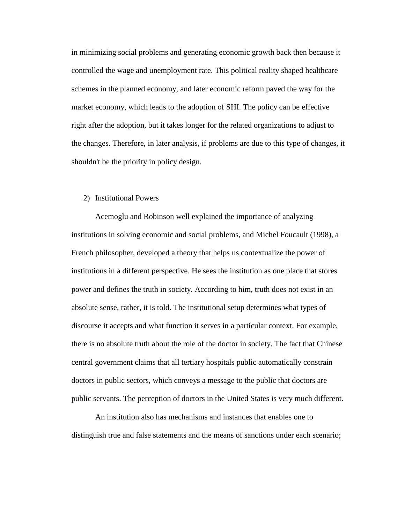in minimizing social problems and generating economic growth back then because it controlled the wage and unemployment rate. This political reality shaped healthcare schemes in the planned economy, and later economic reform paved the way for the market economy, which leads to the adoption of SHI. The policy can be effective right after the adoption, but it takes longer for the related organizations to adjust to the changes. Therefore, in later analysis, if problems are due to this type of changes, it shouldn't be the priority in policy design.

# 2) Institutional Powers

Acemoglu and Robinson well explained the importance of analyzing institutions in solving economic and social problems, and Michel Foucault (1998), a French philosopher, developed a theory that helps us contextualize the power of institutions in a different perspective. He sees the institution as one place that stores power and defines the truth in society. According to him, truth does not exist in an absolute sense, rather, it is told. The institutional setup determines what types of discourse it accepts and what function it serves in a particular context. For example, there is no absolute truth about the role of the doctor in society. The fact that Chinese central government claims that all tertiary hospitals public automatically constrain doctors in public sectors, which conveys a message to the public that doctors are public servants. The perception of doctors in the United States is very much different.

An institution also has mechanisms and instances that enables one to distinguish true and false statements and the means of sanctions under each scenario;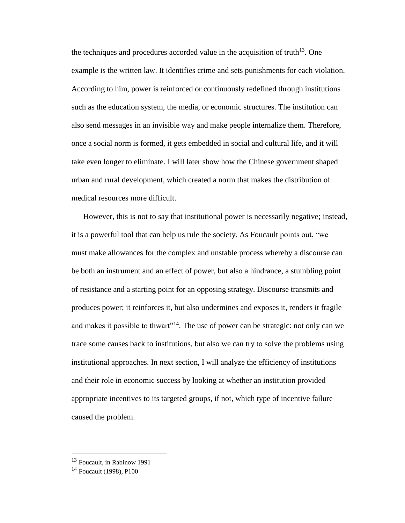the techniques and procedures accorded value in the acquisition of truth<sup>13</sup>. One example is the written law. It identifies crime and sets punishments for each violation. According to him, power is reinforced or continuously redefined through institutions such as the education system, the media, or economic structures. The institution can also send messages in an invisible way and make people internalize them. Therefore, once a social norm is formed, it gets embedded in social and cultural life, and it will take even longer to eliminate. I will later show how the Chinese government shaped urban and rural development, which created a norm that makes the distribution of medical resources more difficult.

However, this is not to say that institutional power is necessarily negative; instead, it is a powerful tool that can help us rule the society. As Foucault points out, "we must make allowances for the complex and unstable process whereby a discourse can be both an instrument and an effect of power, but also a hindrance, a stumbling point of resistance and a starting point for an opposing strategy. Discourse transmits and produces power; it reinforces it, but also undermines and exposes it, renders it fragile and makes it possible to thwart"<sup>14</sup>. The use of power can be strategic: not only can we trace some causes back to institutions, but also we can try to solve the problems using institutional approaches. In next section, I will analyze the efficiency of institutions and their role in economic success by looking at whether an institution provided appropriate incentives to its targeted groups, if not, which type of incentive failure caused the problem.

<sup>13</sup> Foucault, in Rabinow 1991

<sup>&</sup>lt;sup>14</sup> Foucault (1998), P100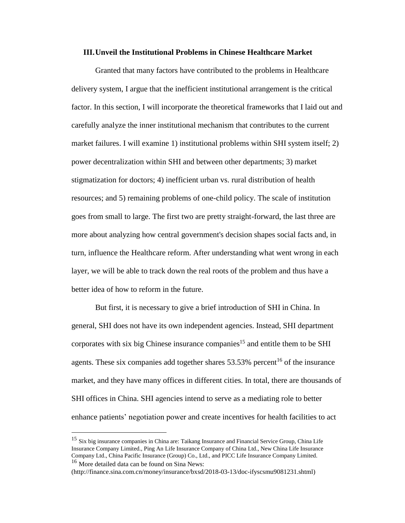#### **III.Unveil the Institutional Problems in Chinese Healthcare Market**

Granted that many factors have contributed to the problems in Healthcare delivery system, I argue that the inefficient institutional arrangement is the critical factor. In this section, I will incorporate the theoretical frameworks that I laid out and carefully analyze the inner institutional mechanism that contributes to the current market failures. I will examine 1) institutional problems within SHI system itself; 2) power decentralization within SHI and between other departments; 3) market stigmatization for doctors; 4) inefficient urban vs. rural distribution of health resources; and 5) remaining problems of one-child policy. The scale of institution goes from small to large. The first two are pretty straight-forward, the last three are more about analyzing how central government's decision shapes social facts and, in turn, influence the Healthcare reform. After understanding what went wrong in each layer, we will be able to track down the real roots of the problem and thus have a better idea of how to reform in the future.

But first, it is necessary to give a brief introduction of SHI in China. In general, SHI does not have its own independent agencies. Instead, SHI department corporates with six big Chinese insurance companies<sup>15</sup> and entitle them to be SHI agents. These six companies add together shares  $53.53\%$  percent<sup>16</sup> of the insurance market, and they have many offices in different cities. In total, there are thousands of SHI offices in China. SHI agencies intend to serve as a mediating role to better enhance patients' negotiation power and create incentives for health facilities to act

<sup>15</sup> Six big insurance companies in China are: Taikang Insurance and Financial Service Group, China Life Insurance Company Limited., Ping An Life Insurance Company of China Ltd., New China Life Insurance Company Ltd., China Pacific Insurance (Group) Co., Ltd., and PICC Life Insurance Company Limited. <sup>16</sup> More detailed data can be found on Sina News:

<sup>(</sup>http://finance.sina.com.cn/money/insurance/bxsd/2018-03-13/doc-ifyscsmu9081231.shtml)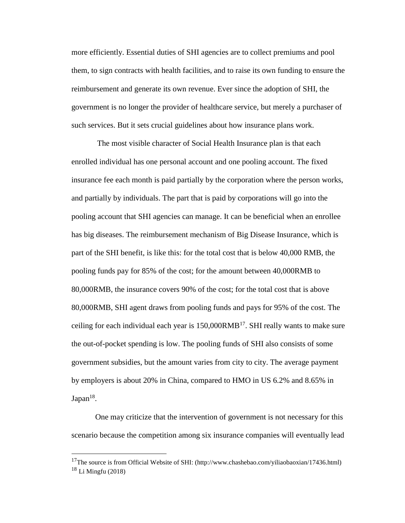more efficiently. Essential duties of SHI agencies are to collect premiums and pool them, to sign contracts with health facilities, and to raise its own funding to ensure the reimbursement and generate its own revenue. Ever since the adoption of SHI, the government is no longer the provider of healthcare service, but merely a purchaser of such services. But it sets crucial guidelines about how insurance plans work.

The most visible character of Social Health Insurance plan is that each enrolled individual has one personal account and one pooling account. The fixed insurance fee each month is paid partially by the corporation where the person works, and partially by individuals. The part that is paid by corporations will go into the pooling account that SHI agencies can manage. It can be beneficial when an enrollee has big diseases. The reimbursement mechanism of Big Disease Insurance, which is part of the SHI benefit, is like this: for the total cost that is below 40,000 RMB, the pooling funds pay for 85% of the cost; for the amount between 40,000RMB to 80,000RMB, the insurance covers 90% of the cost; for the total cost that is above 80,000RMB, SHI agent draws from pooling funds and pays for 95% of the cost. The ceiling for each individual each year is  $150,000$ RMB<sup>17</sup>. SHI really wants to make sure the out-of-pocket spending is low. The pooling funds of SHI also consists of some government subsidies, but the amount varies from city to city. The average payment by employers is about 20% in China, compared to HMO in US 6.2% and 8.65% in  $Japan<sup>18</sup>$ .

One may criticize that the intervention of government is not necessary for this scenario because the competition among six insurance companies will eventually lead

<sup>17</sup>The source is from Official Website of SHI: (http://www.chashebao.com/yiliaobaoxian/17436.html)  $18$  Li Mingfu (2018)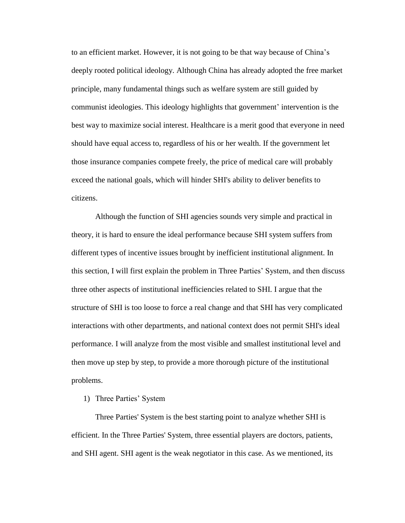to an efficient market. However, it is not going to be that way because of China's deeply rooted political ideology. Although China has already adopted the free market principle, many fundamental things such as welfare system are still guided by communist ideologies. This ideology highlights that government' intervention is the best way to maximize social interest. Healthcare is a merit good that everyone in need should have equal access to, regardless of his or her wealth. If the government let those insurance companies compete freely, the price of medical care will probably exceed the national goals, which will hinder SHI's ability to deliver benefits to citizens.

Although the function of SHI agencies sounds very simple and practical in theory, it is hard to ensure the ideal performance because SHI system suffers from different types of incentive issues brought by inefficient institutional alignment. In this section, I will first explain the problem in Three Parties' System, and then discuss three other aspects of institutional inefficiencies related to SHI. I argue that the structure of SHI is too loose to force a real change and that SHI has very complicated interactions with other departments, and national context does not permit SHI's ideal performance. I will analyze from the most visible and smallest institutional level and then move up step by step, to provide a more thorough picture of the institutional problems.

1) Three Parties' System

Three Parties' System is the best starting point to analyze whether SHI is efficient. In the Three Parties' System, three essential players are doctors, patients, and SHI agent. SHI agent is the weak negotiator in this case. As we mentioned, its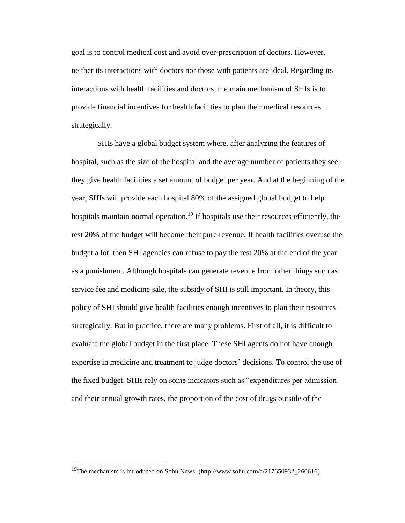goal is to control medical cost and avoid over-prescription of doctors. However, neither its interactions with doctors nor those with patients are ideal. Regarding its interactions with health facilities and doctors, the main mechanism of SHIs is to provide financial incentives for health facilities to plan their medical resources strategically.

SHIs have a global budget system where, after analyzing the features of hospital, such as the size of the hospital and the average number of patients they see, they give health facilities a set amount of budget per year. And at the beginning of the year, SHIs will provide each hospital 80% of the assigned global budget to help hospitals maintain normal operation.<sup>19</sup> If hospitals use their resources efficiently, the rest 20% of the budget will become their pure revenue. If health facilities overuse the budget a lot, then SHI agencies can refuse to pay the rest 20% at the end of the year as a punishment. Although hospitals can generate revenue from other things such as service fee and medicine sale, the subsidy of SHI is still important. In theory, this policy of SHI should give health facilities enough incentives to plan their resources strategically. But in practice, there are many problems. First of all, it is difficult to evaluate the global budget in the first place. These SHI agents do not have enough expertise in medicine and treatment to judge doctors' decisions. To control the use of the fixed budget, SHIs rely on some indicators such as "expenditures per admission and their annual growth rates, the proportion of the cost of drugs outside of the

<sup>19</sup>The mechanism is introduced on Sohu News: (http://www.sohu.com/a/217650932\_260616)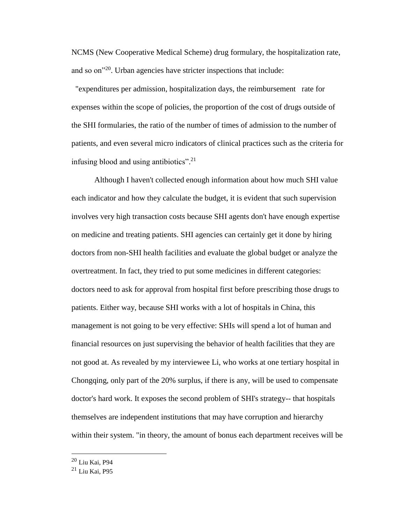NCMS (New Cooperative Medical Scheme) drug formulary, the hospitalization rate, and so on"<sup>20</sup>. Urban agencies have stricter inspections that include:

 "expenditures per admission, hospitalization days, the reimbursement rate for expenses within the scope of policies, the proportion of the cost of drugs outside of the SHI formularies, the ratio of the number of times of admission to the number of patients, and even several micro indicators of clinical practices such as the criteria for infusing blood and using antibiotics". 21

Although I haven't collected enough information about how much SHI value each indicator and how they calculate the budget, it is evident that such supervision involves very high transaction costs because SHI agents don't have enough expertise on medicine and treating patients. SHI agencies can certainly get it done by hiring doctors from non-SHI health facilities and evaluate the global budget or analyze the overtreatment. In fact, they tried to put some medicines in different categories: doctors need to ask for approval from hospital first before prescribing those drugs to patients. Either way, because SHI works with a lot of hospitals in China, this management is not going to be very effective: SHIs will spend a lot of human and financial resources on just supervising the behavior of health facilities that they are not good at. As revealed by my interviewee Li, who works at one tertiary hospital in Chongqing, only part of the 20% surplus, if there is any, will be used to compensate doctor's hard work. It exposes the second problem of SHI's strategy-- that hospitals themselves are independent institutions that may have corruption and hierarchy within their system. "in theory, the amount of bonus each department receives will be

<sup>20</sup> Liu Kai, P94

 $21$  Liu Kai, P95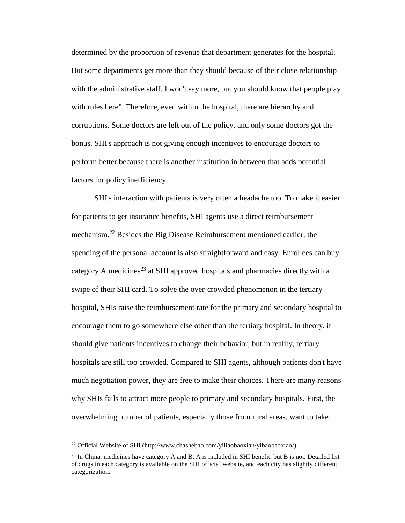determined by the proportion of revenue that department generates for the hospital. But some departments get more than they should because of their close relationship with the administrative staff. I won't say more, but you should know that people play with rules here". Therefore, even within the hospital, there are hierarchy and corruptions. Some doctors are left out of the policy, and only some doctors got the bonus. SHI's approach is not giving enough incentives to encourage doctors to perform better because there is another institution in between that adds potential factors for policy inefficiency.

SHI's interaction with patients is very often a headache too. To make it easier for patients to get insurance benefits, SHI agents use a direct reimbursement mechanism.<sup>22</sup> Besides the Big Disease Reimbursement mentioned earlier, the spending of the personal account is also straightforward and easy. Enrollees can buy category A medicines<sup>23</sup> at SHI approved hospitals and pharmacies directly with a swipe of their SHI card. To solve the over-crowded phenomenon in the tertiary hospital, SHIs raise the reimbursement rate for the primary and secondary hospital to encourage them to go somewhere else other than the tertiary hospital. In theory, it should give patients incentives to change their behavior, but in reality, tertiary hospitals are still too crowded. Compared to SHI agents, although patients don't have much negotiation power, they are free to make their choices. There are many reasons why SHIs fails to attract more people to primary and secondary hospitals. First, the overwhelming number of patients, especially those from rural areas, want to take

<sup>22</sup> Official Website of SHI (http://www.chashebao.com/yiliaobaoxian/yibaobaoxiao/)

 $^{23}$  In China, medicines have category A and B. A is included in SHI benefit, but B is not. Detailed list of drugs in each category is available on the SHI official website, and each city has slightly different categorization.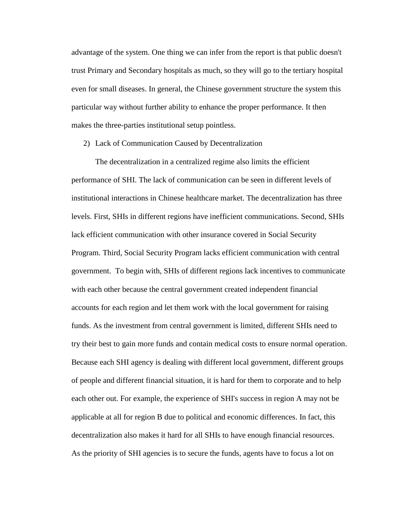advantage of the system. One thing we can infer from the report is that public doesn't trust Primary and Secondary hospitals as much, so they will go to the tertiary hospital even for small diseases. In general, the Chinese government structure the system this particular way without further ability to enhance the proper performance. It then makes the three-parties institutional setup pointless.

2) Lack of Communication Caused by Decentralization

The decentralization in a centralized regime also limits the efficient performance of SHI. The lack of communication can be seen in different levels of institutional interactions in Chinese healthcare market. The decentralization has three levels. First, SHIs in different regions have inefficient communications. Second, SHIs lack efficient communication with other insurance covered in Social Security Program. Third, Social Security Program lacks efficient communication with central government. To begin with, SHIs of different regions lack incentives to communicate with each other because the central government created independent financial accounts for each region and let them work with the local government for raising funds. As the investment from central government is limited, different SHIs need to try their best to gain more funds and contain medical costs to ensure normal operation. Because each SHI agency is dealing with different local government, different groups of people and different financial situation, it is hard for them to corporate and to help each other out. For example, the experience of SHI's success in region A may not be applicable at all for region B due to political and economic differences. In fact, this decentralization also makes it hard for all SHIs to have enough financial resources. As the priority of SHI agencies is to secure the funds, agents have to focus a lot on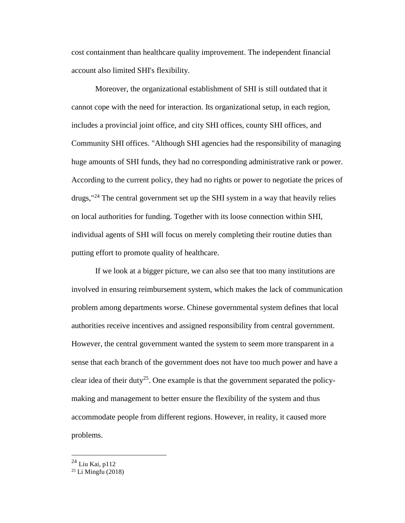cost containment than healthcare quality improvement. The independent financial account also limited SHI's flexibility.

Moreover, the organizational establishment of SHI is still outdated that it cannot cope with the need for interaction. Its organizational setup, in each region, includes a provincial joint office, and city SHI offices, county SHI offices, and Community SHI offices. "Although SHI agencies had the responsibility of managing huge amounts of SHI funds, they had no corresponding administrative rank or power. According to the current policy, they had no rights or power to negotiate the prices of  $d_{\text{rugs}}$ ,  $^{24}$  The central government set up the SHI system in a way that heavily relies on local authorities for funding. Together with its loose connection within SHI, individual agents of SHI will focus on merely completing their routine duties than putting effort to promote quality of healthcare.

If we look at a bigger picture, we can also see that too many institutions are involved in ensuring reimbursement system, which makes the lack of communication problem among departments worse. Chinese governmental system defines that local authorities receive incentives and assigned responsibility from central government. However, the central government wanted the system to seem more transparent in a sense that each branch of the government does not have too much power and have a clear idea of their duty<sup>25</sup>. One example is that the government separated the policymaking and management to better ensure the flexibility of the system and thus accommodate people from different regions. However, in reality, it caused more problems.

<sup>&</sup>lt;sup>24</sup> Liu Kai, p112

<sup>25</sup> Li Mingfu (2018)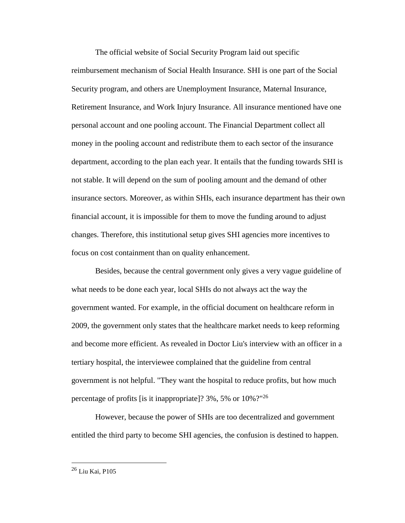The official website of Social Security Program laid out specific reimbursement mechanism of Social Health Insurance. SHI is one part of the Social Security program, and others are Unemployment Insurance, Maternal Insurance, Retirement Insurance, and Work Injury Insurance. All insurance mentioned have one personal account and one pooling account. The Financial Department collect all money in the pooling account and redistribute them to each sector of the insurance department, according to the plan each year. It entails that the funding towards SHI is not stable. It will depend on the sum of pooling amount and the demand of other insurance sectors. Moreover, as within SHIs, each insurance department has their own financial account, it is impossible for them to move the funding around to adjust changes. Therefore, this institutional setup gives SHI agencies more incentives to focus on cost containment than on quality enhancement.

Besides, because the central government only gives a very vague guideline of what needs to be done each year, local SHIs do not always act the way the government wanted. For example, in the official document on healthcare reform in 2009, the government only states that the healthcare market needs to keep reforming and become more efficient. As revealed in Doctor Liu's interview with an officer in a tertiary hospital, the interviewee complained that the guideline from central government is not helpful. "They want the hospital to reduce profits, but how much percentage of profits [is it inappropriate]? 3%, 5% or  $10\%$ ?"<sup>26</sup>

However, because the power of SHIs are too decentralized and government entitled the third party to become SHI agencies, the confusion is destined to happen.

<sup>26</sup> Liu Kai, P105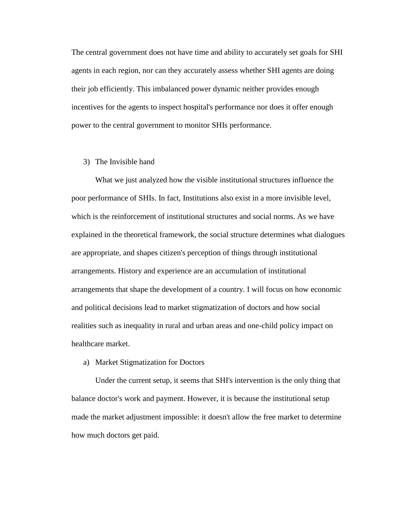The central government does not have time and ability to accurately set goals for SHI agents in each region, nor can they accurately assess whether SHI agents are doing their job efficiently. This imbalanced power dynamic neither provides enough incentives for the agents to inspect hospital's performance nor does it offer enough power to the central government to monitor SHIs performance.

#### 3) The Invisible hand

What we just analyzed how the visible institutional structures influence the poor performance of SHIs. In fact, Institutions also exist in a more invisible level, which is the reinforcement of institutional structures and social norms. As we have explained in the theoretical framework, the social structure determines what dialogues are appropriate, and shapes citizen's perception of things through institutional arrangements. History and experience are an accumulation of institutional arrangements that shape the development of a country. I will focus on how economic and political decisions lead to market stigmatization of doctors and how social realities such as inequality in rural and urban areas and one-child policy impact on healthcare market.

#### a) Market Stigmatization for Doctors

Under the current setup, it seems that SHI's intervention is the only thing that balance doctor's work and payment. However, it is because the institutional setup made the market adjustment impossible: it doesn't allow the free market to determine how much doctors get paid.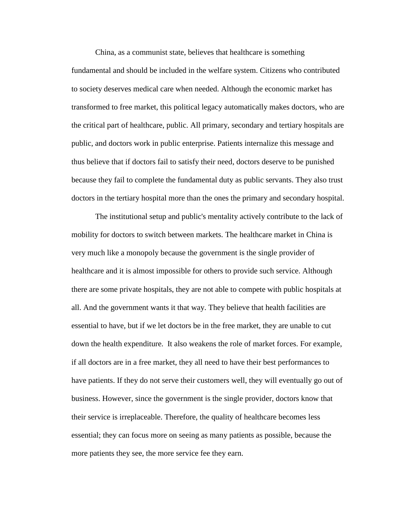China, as a communist state, believes that healthcare is something fundamental and should be included in the welfare system. Citizens who contributed to society deserves medical care when needed. Although the economic market has transformed to free market, this political legacy automatically makes doctors, who are the critical part of healthcare, public. All primary, secondary and tertiary hospitals are public, and doctors work in public enterprise. Patients internalize this message and thus believe that if doctors fail to satisfy their need, doctors deserve to be punished because they fail to complete the fundamental duty as public servants. They also trust doctors in the tertiary hospital more than the ones the primary and secondary hospital.

The institutional setup and public's mentality actively contribute to the lack of mobility for doctors to switch between markets. The healthcare market in China is very much like a monopoly because the government is the single provider of healthcare and it is almost impossible for others to provide such service. Although there are some private hospitals, they are not able to compete with public hospitals at all. And the government wants it that way. They believe that health facilities are essential to have, but if we let doctors be in the free market, they are unable to cut down the health expenditure. It also weakens the role of market forces. For example, if all doctors are in a free market, they all need to have their best performances to have patients. If they do not serve their customers well, they will eventually go out of business. However, since the government is the single provider, doctors know that their service is irreplaceable. Therefore, the quality of healthcare becomes less essential; they can focus more on seeing as many patients as possible, because the more patients they see, the more service fee they earn.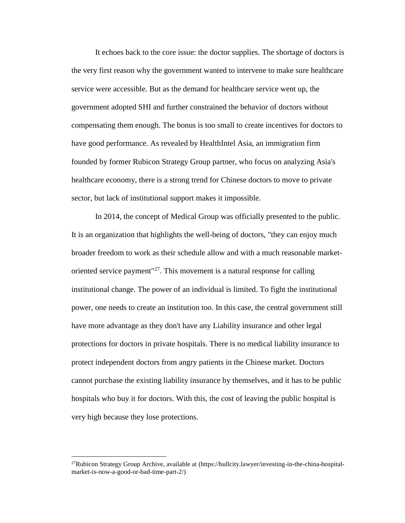It echoes back to the core issue: the doctor supplies. The shortage of doctors is the very first reason why the government wanted to intervene to make sure healthcare service were accessible. But as the demand for healthcare service went up, the government adopted SHI and further constrained the behavior of doctors without compensating them enough. The bonus is too small to create incentives for doctors to have good performance. As revealed by HealthIntel Asia, an immigration firm founded by former Rubicon Strategy Group partner, who focus on analyzing Asia's healthcare economy, there is a strong trend for Chinese doctors to move to private sector, but lack of institutional support makes it impossible.

In 2014, the concept of Medical Group was officially presented to the public. It is an organization that highlights the well-being of doctors, "they can enjoy much broader freedom to work as their schedule allow and with a much reasonable marketoriented service payment<sup>"27</sup>. This movement is a natural response for calling institutional change. The power of an individual is limited. To fight the institutional power, one needs to create an institution too. In this case, the central government still have more advantage as they don't have any Liability insurance and other legal protections for doctors in private hospitals. There is no medical liability insurance to protect independent doctors from angry patients in the Chinese market. Doctors cannot purchase the existing liability insurance by themselves, and it has to be public hospitals who buy it for doctors. With this, the cost of leaving the public hospital is very high because they lose protections.

 $^{27}$ Rubicon Strategy Group Archive, available at (https://bullcity.lawyer/investing-in-the-china-hospitalmarket-is-now-a-good-or-bad-time-part-2/)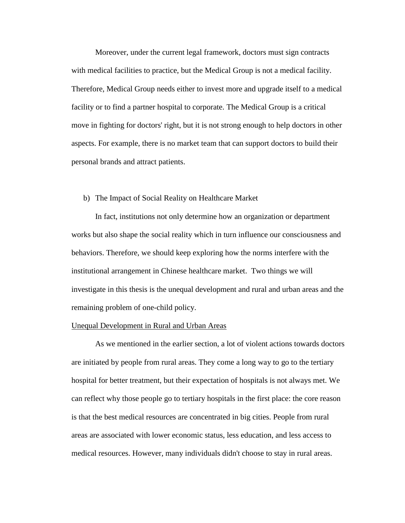Moreover, under the current legal framework, doctors must sign contracts with medical facilities to practice, but the Medical Group is not a medical facility. Therefore, Medical Group needs either to invest more and upgrade itself to a medical facility or to find a partner hospital to corporate. The Medical Group is a critical move in fighting for doctors' right, but it is not strong enough to help doctors in other aspects. For example, there is no market team that can support doctors to build their personal brands and attract patients.

#### b) The Impact of Social Reality on Healthcare Market

In fact, institutions not only determine how an organization or department works but also shape the social reality which in turn influence our consciousness and behaviors. Therefore, we should keep exploring how the norms interfere with the institutional arrangement in Chinese healthcare market. Two things we will investigate in this thesis is the unequal development and rural and urban areas and the remaining problem of one-child policy.

#### Unequal Development in Rural and Urban Areas

As we mentioned in the earlier section, a lot of violent actions towards doctors are initiated by people from rural areas. They come a long way to go to the tertiary hospital for better treatment, but their expectation of hospitals is not always met. We can reflect why those people go to tertiary hospitals in the first place: the core reason is that the best medical resources are concentrated in big cities. People from rural areas are associated with lower economic status, less education, and less access to medical resources. However, many individuals didn't choose to stay in rural areas.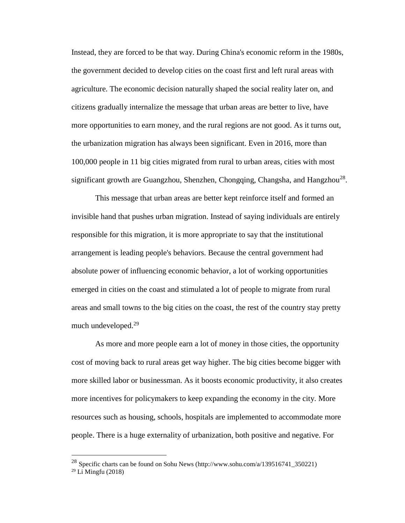Instead, they are forced to be that way. During China's economic reform in the 1980s, the government decided to develop cities on the coast first and left rural areas with agriculture. The economic decision naturally shaped the social reality later on, and citizens gradually internalize the message that urban areas are better to live, have more opportunities to earn money, and the rural regions are not good. As it turns out, the urbanization migration has always been significant. Even in 2016, more than 100,000 people in 11 big cities migrated from rural to urban areas, cities with most significant growth are Guangzhou, Shenzhen, Chongqing, Changsha, and Hangzhou<sup>28</sup>.

This message that urban areas are better kept reinforce itself and formed an invisible hand that pushes urban migration. Instead of saying individuals are entirely responsible for this migration, it is more appropriate to say that the institutional arrangement is leading people's behaviors. Because the central government had absolute power of influencing economic behavior, a lot of working opportunities emerged in cities on the coast and stimulated a lot of people to migrate from rural areas and small towns to the big cities on the coast, the rest of the country stay pretty much undeveloped. 29

As more and more people earn a lot of money in those cities, the opportunity cost of moving back to rural areas get way higher. The big cities become bigger with more skilled labor or businessman. As it boosts economic productivity, it also creates more incentives for policymakers to keep expanding the economy in the city. More resources such as housing, schools, hospitals are implemented to accommodate more people. There is a huge externality of urbanization, both positive and negative. For

<sup>28</sup> Specific charts can be found on Sohu News (http://www.sohu.com/a/139516741\_350221) <sup>29</sup> Li Mingfu (2018)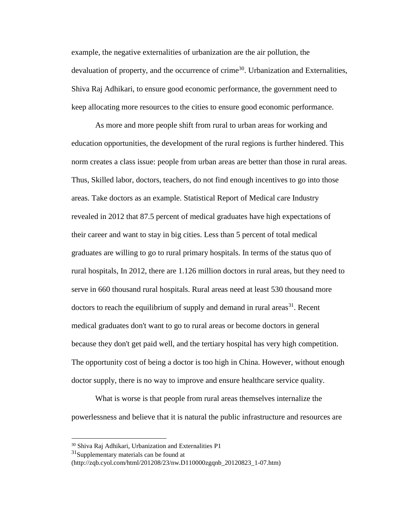example, the negative externalities of urbanization are the air pollution, the devaluation of property, and the occurrence of crime<sup>30</sup>. Urbanization and Externalities, Shiva Raj Adhikari, to ensure good economic performance, the government need to keep allocating more resources to the cities to ensure good economic performance.

As more and more people shift from rural to urban areas for working and education opportunities, the development of the rural regions is further hindered. This norm creates a class issue: people from urban areas are better than those in rural areas. Thus, Skilled labor, doctors, teachers, do not find enough incentives to go into those areas. Take doctors as an example. Statistical Report of Medical care Industry revealed in 2012 that 87.5 percent of medical graduates have high expectations of their career and want to stay in big cities. Less than 5 percent of total medical graduates are willing to go to rural primary hospitals. In terms of the status quo of rural hospitals, In 2012, there are 1.126 million doctors in rural areas, but they need to serve in 660 thousand rural hospitals. Rural areas need at least 530 thousand more doctors to reach the equilibrium of supply and demand in rural areas<sup>31</sup>. Recent medical graduates don't want to go to rural areas or become doctors in general because they don't get paid well, and the tertiary hospital has very high competition. The opportunity cost of being a doctor is too high in China. However, without enough doctor supply, there is no way to improve and ensure healthcare service quality.

What is worse is that people from rural areas themselves internalize the powerlessness and believe that it is natural the public infrastructure and resources are

<sup>30</sup> Shiva Raj Adhikari, Urbanization and Externalities P1

<sup>&</sup>lt;sup>31</sup>Supplementary materials can be found at

<sup>(</sup>http://zqb.cyol.com/html/201208/23/nw.D110000zgqnb\_20120823\_1-07.htm)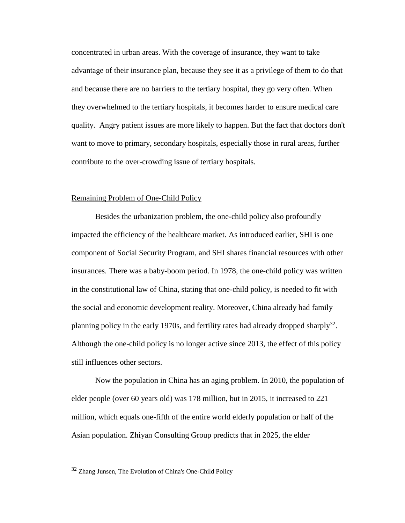concentrated in urban areas. With the coverage of insurance, they want to take advantage of their insurance plan, because they see it as a privilege of them to do that and because there are no barriers to the tertiary hospital, they go very often. When they overwhelmed to the tertiary hospitals, it becomes harder to ensure medical care quality. Angry patient issues are more likely to happen. But the fact that doctors don't want to move to primary, secondary hospitals, especially those in rural areas, further contribute to the over-crowding issue of tertiary hospitals.

#### Remaining Problem of One-Child Policy

Besides the urbanization problem, the one-child policy also profoundly impacted the efficiency of the healthcare market. As introduced earlier, SHI is one component of Social Security Program, and SHI shares financial resources with other insurances. There was a baby-boom period. In 1978, the one-child policy was written in the constitutional law of China, stating that one-child policy, is needed to fit with the social and economic development reality. Moreover, China already had family planning policy in the early 1970s, and fertility rates had already dropped sharply<sup>32</sup>. Although the one-child policy is no longer active since 2013, the effect of this policy still influences other sectors.

Now the population in China has an aging problem. In 2010, the population of elder people (over 60 years old) was 178 million, but in 2015, it increased to 221 million, which equals one-fifth of the entire world elderly population or half of the Asian population. Zhiyan Consulting Group predicts that in 2025, the elder

<sup>&</sup>lt;sup>32</sup> Zhang Junsen, The Evolution of China's One-Child Policy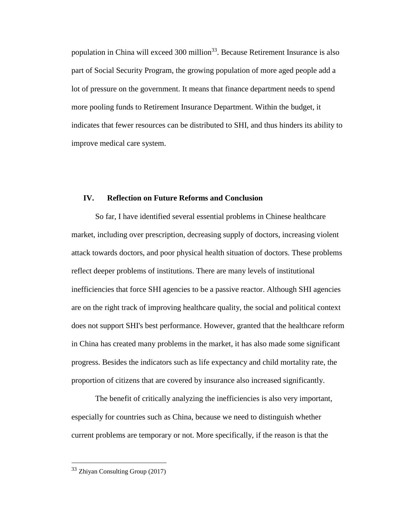population in China will exceed 300 million<sup>33</sup>. Because Retirement Insurance is also part of Social Security Program, the growing population of more aged people add a lot of pressure on the government. It means that finance department needs to spend more pooling funds to Retirement Insurance Department. Within the budget, it indicates that fewer resources can be distributed to SHI, and thus hinders its ability to improve medical care system.

## **IV. Reflection on Future Reforms and Conclusion**

So far, I have identified several essential problems in Chinese healthcare market, including over prescription, decreasing supply of doctors, increasing violent attack towards doctors, and poor physical health situation of doctors. These problems reflect deeper problems of institutions. There are many levels of institutional inefficiencies that force SHI agencies to be a passive reactor. Although SHI agencies are on the right track of improving healthcare quality, the social and political context does not support SHI's best performance. However, granted that the healthcare reform in China has created many problems in the market, it has also made some significant progress. Besides the indicators such as life expectancy and child mortality rate, the proportion of citizens that are covered by insurance also increased significantly.

The benefit of critically analyzing the inefficiencies is also very important, especially for countries such as China, because we need to distinguish whether current problems are temporary or not. More specifically, if the reason is that the

<sup>33</sup> Zhiyan Consulting Group (2017)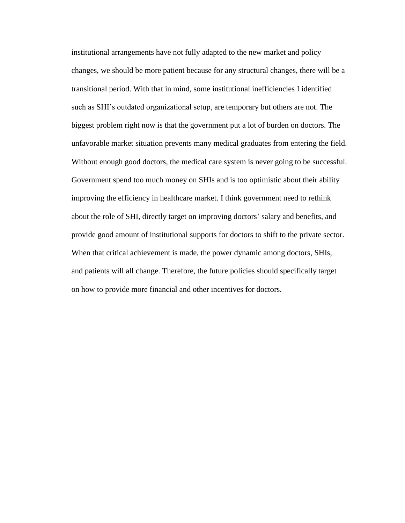institutional arrangements have not fully adapted to the new market and policy changes, we should be more patient because for any structural changes, there will be a transitional period. With that in mind, some institutional inefficiencies I identified such as SHI's outdated organizational setup, are temporary but others are not. The biggest problem right now is that the government put a lot of burden on doctors. The unfavorable market situation prevents many medical graduates from entering the field. Without enough good doctors, the medical care system is never going to be successful. Government spend too much money on SHIs and is too optimistic about their ability improving the efficiency in healthcare market. I think government need to rethink about the role of SHI, directly target on improving doctors' salary and benefits, and provide good amount of institutional supports for doctors to shift to the private sector. When that critical achievement is made, the power dynamic among doctors, SHIs, and patients will all change. Therefore, the future policies should specifically target on how to provide more financial and other incentives for doctors.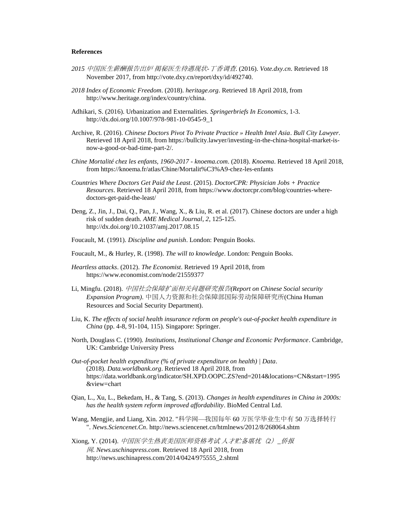#### **References**

- *2015 中国医生薪酬*报*告出炉 揭秘医生待遇*现*状-丁香*调查. (2016). *Vote.dxy.cn*. Retrieved 18 November 2017, from http://vote.dxy.cn/report/dxy/id/492740.
- *2018 Index of Economic Freedom*. (2018). *heritage.org*. Retrieved 18 April 2018, from http://www.heritage.org/index/country/china.
- Adhikari, S. (2016). Urbanization and Externalities. *Springerbriefs In Economics*, 1-3. http://dx.doi.org/10.1007/978-981-10-0545-9\_1
- Archive, R. (2016). *Chinese Doctors Pivot To Private Practice » Health Intel Asia*. *Bull City Lawyer*. Retrieved 18 April 2018, from https://bullcity.lawyer/investing-in-the-china-hospital-market-isnow-a-good-or-bad-time-part-2/.
- *Chine Mortalité chez les enfants, 1960-2017 - knoema.com*. (2018). *Knoema*. Retrieved 18 April 2018, from https://knoema.fr/atlas/Chine/Mortalit%C3%A9-chez-les-enfants
- *Countries Where Doctors Get Paid the Least*. (2015). *DoctorCPR: Physician Jobs + Practice Resources*. Retrieved 18 April 2018, from https://www.doctorcpr.com/blog/countries-wheredoctors-get-paid-the-least/
- Deng, Z., Jin, J., Dai, Q., Pan, J., Wang, X., & Liu, R. et al. (2017). Chinese doctors are under a high risk of sudden death. *AME Medical Journal*, *2*, 125-125. http://dx.doi.org/10.21037/amj.2017.08.15
- Foucault, M. (1991). *Discipline and punish*. London: Penguin Books.
- Foucault, M., & Hurley, R. (1998). *The will to knowledge*. London: Penguin Books.
- *Heartless attacks*. (2012). *The Economist*. Retrieved 19 April 2018, from https://www.economist.com/node/21559377
- Li, Mingfu. (2018). *中国社会保障*扩*面相关*问题*研究*报*告(Report on Chinese Social security Expansion Program)*. *中国人力*资*源和社会保障部国*际劳动*保障研究所*(China Human Resources and Social Security Department).
- Liu, K. *The effects of social health insurance reform on people's out-of-pocket health expenditure in China* (pp. 4-8, 91-104, 115). Singapore: Springer.
- North, Douglass C. (1990). *Institutions, Institutional Change and Economic Performance*. Cambridge, UK: Cambridge University Press
- *Out-of-pocket health expenditure (% of private expenditure on health) | Data*. (2018). *Data.worldbank.org*. Retrieved 18 April 2018, from https://data.worldbank.org/indicator/SH.XPD.OOPC.ZS?end=2014&locations=CN&start=1995 &view=chart
- Qian, L., Xu, L., Bekedam, H., & Tang, S. (2013). *Changes in health expenditures in China in 2000s: has the health system reform improved affordability*. BioMed Central Ltd.
- Wang, Mengjie, and Liang, Xin. 2012. "*科学网*—*我国每年* 60 *万医学*毕业*生中有* 50 *万*选择转*行* ". *News.Sciencenet.Cn*. http://news.sciencenet.cn/htmlnews/2012/8/268064.shtm
- Xiong, Y. (2014). *中国医学生*热*衷美国医*师资*格考*试 *人才*贮备*堪*忧*(2)\_*侨报 *网*. *News.uschinapress.com*. Retrieved 18 April 2018, from http://news.uschinapress.com/2014/0424/975555\_2.shtml